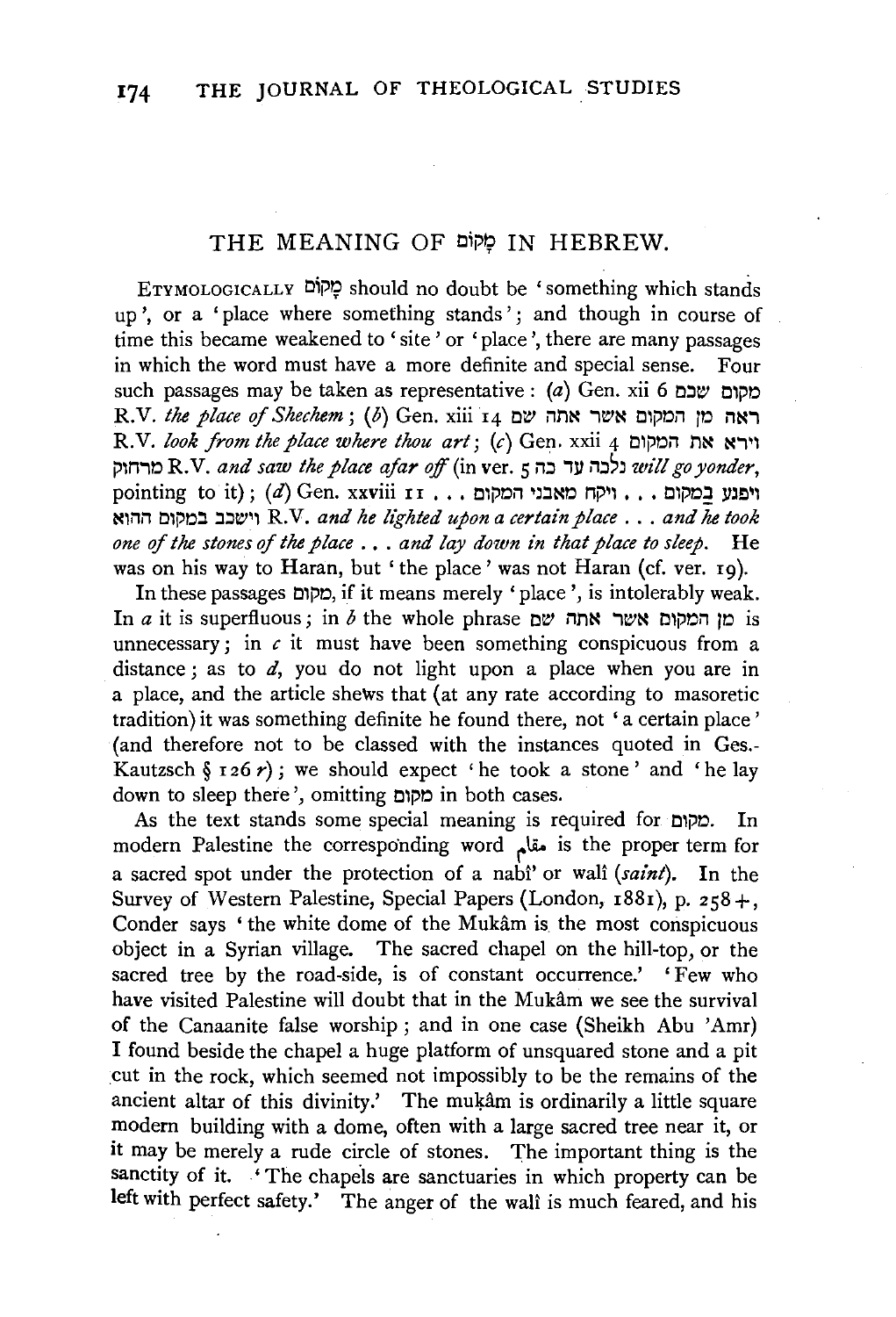## THE MEANING OF סַאְקוֹם IN HEBREW.

ETYMOLOGICALLY O'i'lt should no doubt be 'something which stands up', or a 'place where something stands'; and though in course of time this became weakened to 'site' or 'place', there are many passages in which the word must have a more definite and special sense. Four such passages may be taken as representative :  $(a)$  Gen. xii 6 סקום שכם R.V. *the place of Shechem;* (b) Gen. xiii  $I_4$  ראה מו המקום אשר אתה שם R.V. *look from the place where thou art*; (c) Gen. xxii 4 וירא את המקום j:l\MiO R.V. *and saw the place afar off* (in ver. 5 i1::J iy l"l::J'l *will go yonder,*  pointing to it);  $(d)$  Gen. xxviii  $\mathbf{r}$  . . ויקח מאבני המקום... N\i1i1 O\j:lO.:J .:J.:Jt!l1\ R.V. *and he lighted upon a certain place* ... *and he took one of the stones* of *the place* ••. *and lay down in that place to sleep.* He was on his way to Haran, but 'the place' was not Haran (cf. ver. 19).

In these passages O\j:lO, if it means merely 'place', is intolerably weak. In  $a$  it is superfluous; in  $b$  the whole phrase ולח ואחה שם is unnecessary; in *c* it must have been something conspicuous from a distance; as to  $d$ , you do not light upon a place when you are in a place, and the article shews that (at any rate according to masoretic tradition) it was something definite he found there, not 'a certain place' (and therefore not to be classed with the instances quoted in Ges.- Kautzsch §  $126 r$ ; we should expect 'he took a stone' and 'he lay down to sleep there', omitting מקום in both cases.

As the text stands some special meaning is required for סקום. In modern Palestine the corresponding word مقام is the proper term for a sacred spot under the protection of a nabi' or wall *(saint)*. In the Survey of Western Palestine, Special Papers (London, 1881), p. 258+, Conder says ' the white dome of the Mukam is the most conspicuous object in a Syrian village. The sacred chapel on the hill-top, or the sacred tree by the road-side, is of constant occurrence.' 'Few who have visited Palestine will doubt that in the Mukam we see the survival of the Canaanite false worship; and in one case (Sheikh Abu 'Amr) I found beside the chapel a huge platform of unsquared stone and a pit .cut in the rock, which seemed not impossibly to be the remains of the ancient altar of this divinity.' The mukam is ordinarily a little square modern building with a dome, often with a large sacred tree near it, or it may be merely a rude circle of stones. The important thing is the sanctity of it. . 'The chapels are sanctuaries in which property can be left with perfect safety.' The anger of the wall is much feared, and his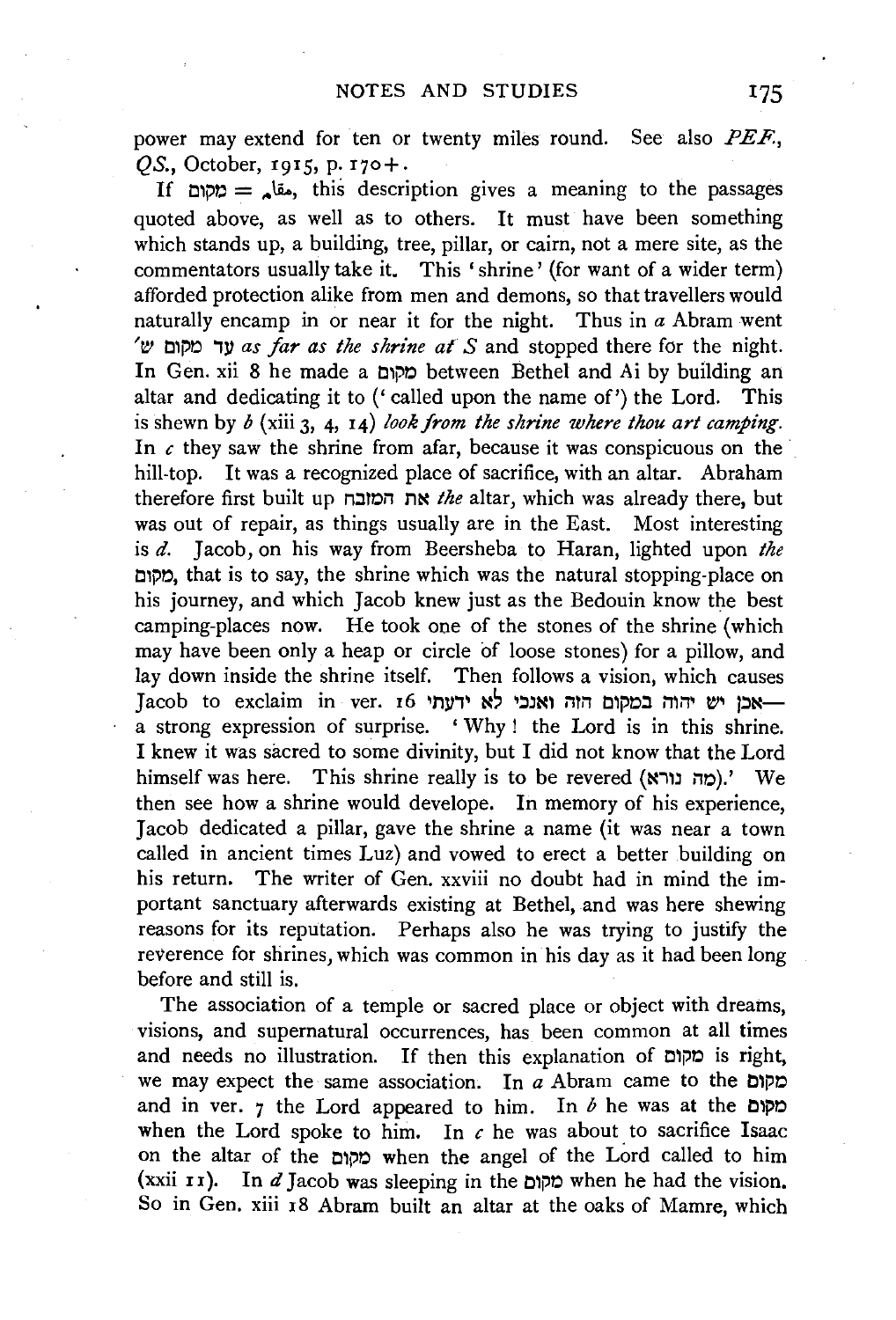power may extend for ten or twenty miles round. See also PEF., *OS.*, October, 1915, p. 170+.

If  $\sigma = \sin \theta$ , this description gives a meaning to the passages quoted above, as well as to others. It must have been something which stands up, a building, tree, pillar, or cairn, not a mere site, as the commentators usually take it. This 'shrine' (for want of a wider term) afforded protection alike from men and demons, so that travellers would naturally encamp in or near it for the night. Thus in *a* Abram went 't!! tl1i'r.l ''Ill *as far as the shrine at S* and stopped there for the night. In Gen. xii 8 he made a מקום between Bethel and Ai by building an altar and dedicating it to ('called upon the name of') the Lord. This is shewn by *b* (xiii 3, 4, 14) *look from the shrine where thou art camping.*  In  $c$  they saw the shrine from afar, because it was conspicuous on the hill-top. It was a recognized place of sacrifice, with an altar. Abraham therefore first built up n.:11r.in n~ *the* altar, which was already there, but was out of repair, as things usually are in the East. Most interesting is *d.* Jacob, on his way from Beersheba to Haran, lighted upon *the*  Cl1j)r.l, that is to say, the shrine which was the natural stopping-place on his journey, and which Jacob knew just as the Bedouin know the best camping-places now. He took one of the stones of the shrine (which may have been only a heap or circle of loose stones) for a pillow, and lay down inside the shrine itself. Then follows a vision, which causes Jacob to exclaim in ver. 16 יש יהוה במקום הזה ואנכי לא ידעתי a strong expression of surprise. ' Why ! the Lord is in this shrine. I knew it was sacred to some divinity, but I did not know that the Lord himself was here. This shrine really is to be revered (מה נורא).' We then see how a shrine would develope. In memory of his experience, Jacob dedicated a pillar, gave the shrine a name (it was near a town called in ancient times Luz) and vowed to erect a better building on his return. The writer of Gen. xxviii no doubt had in mind the important sanctuary afterwards existing at Bethel, and was here shewing reasons for its reputation. Perhaps also he was trying to justify the reverence for shrines, which was common in his day as it had been long before and still is.

The association of a temple or sacred place or object with dreams, visions, and supernatural occurrences, has been common at all times and needs no illustration. If then this explanation of cipo is right, we may expect the same association. In *a* Abram came to the מקום and in ver.  $7$  the Lord appeared to him. In  $b$  he was at the cripp when the Lord spoke to him. In  $c$  he was about to sacrifice Isaac on the altar of the Cl1j)O when the angel of the Lord called to him  $(xxii I)$ . In  $d$  Jacob was sleeping in the cipp when he had the vision. So in Gen. xiii 18 Abram built an altar at the oaks of Mamre, which